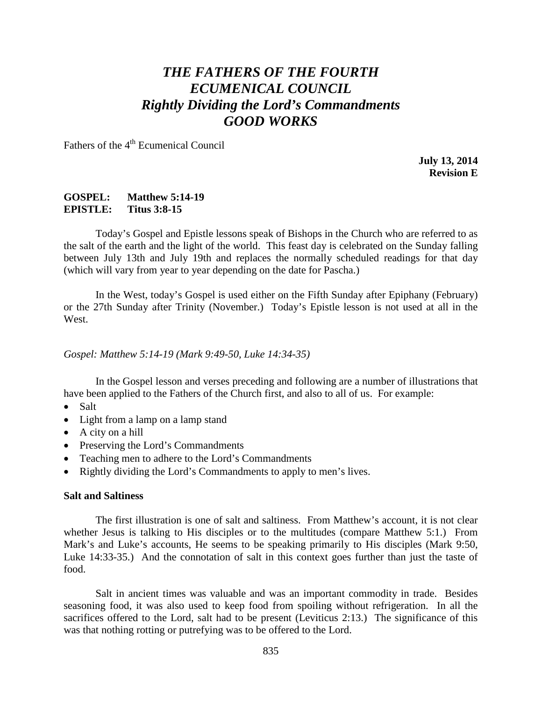# *THE FATHERS OF THE FOURTH ECUMENICAL COUNCIL Rightly Dividing the Lord's Commandments GOOD WORKS*

Fathers of the 4<sup>th</sup> Ecumenical Council

**July 13, 2014 Revision E**

### **GOSPEL: Matthew 5:14-19 EPISTLE: Titus 3:8-15**

Today's Gospel and Epistle lessons speak of Bishops in the Church who are referred to as the salt of the earth and the light of the world. This feast day is celebrated on the Sunday falling between July 13th and July 19th and replaces the normally scheduled readings for that day (which will vary from year to year depending on the date for Pascha.)

In the West, today's Gospel is used either on the Fifth Sunday after Epiphany (February) or the 27th Sunday after Trinity (November.) Today's Epistle lesson is not used at all in the West.

*Gospel: Matthew 5:14-19 (Mark 9:49-50, Luke 14:34-35)*

In the Gospel lesson and verses preceding and following are a number of illustrations that have been applied to the Fathers of the Church first, and also to all of us. For example:

- Salt
- Light from a lamp on a lamp stand
- A city on a hill
- Preserving the Lord's Commandments
- Teaching men to adhere to the Lord's Commandments
- Rightly dividing the Lord's Commandments to apply to men's lives.

#### **Salt and Saltiness**

The first illustration is one of salt and saltiness. From Matthew's account, it is not clear whether Jesus is talking to His disciples or to the multitudes (compare Matthew 5:1.) From Mark's and Luke's accounts, He seems to be speaking primarily to His disciples (Mark 9:50, Luke 14:33-35.) And the connotation of salt in this context goes further than just the taste of food.

Salt in ancient times was valuable and was an important commodity in trade. Besides seasoning food, it was also used to keep food from spoiling without refrigeration. In all the sacrifices offered to the Lord, salt had to be present (Leviticus 2:13.) The significance of this was that nothing rotting or putrefying was to be offered to the Lord.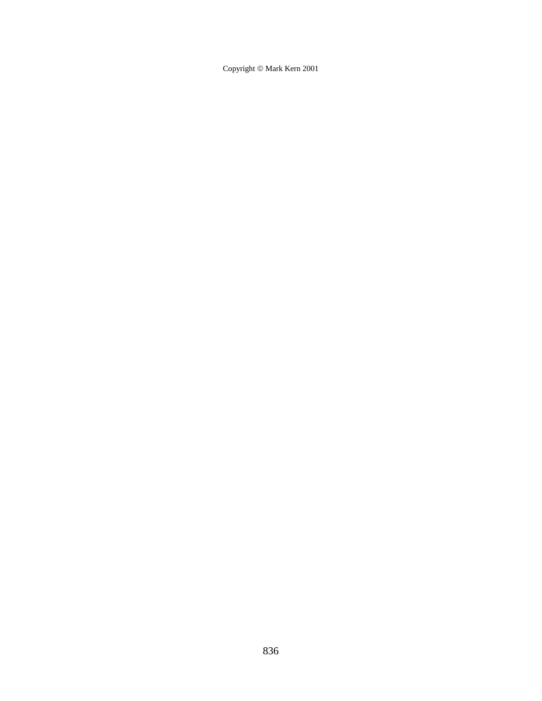Copyright  $\odot$  Mark Kern 2001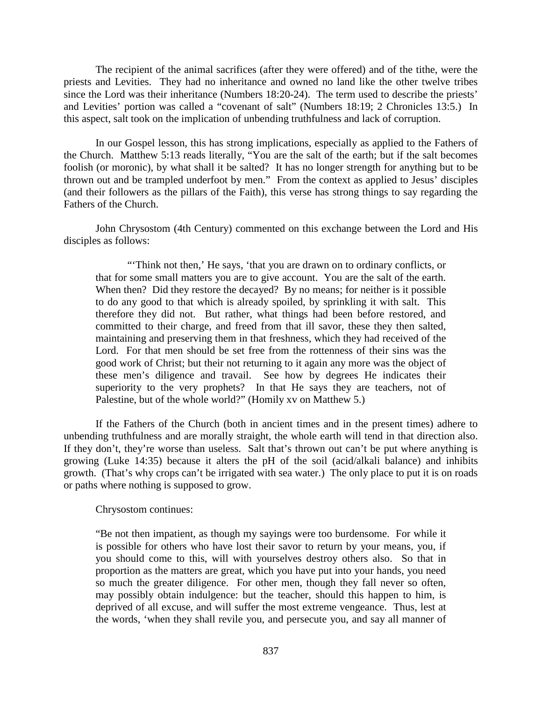The recipient of the animal sacrifices (after they were offered) and of the tithe, were the priests and Levities. They had no inheritance and owned no land like the other twelve tribes since the Lord was their inheritance (Numbers 18:20-24). The term used to describe the priests' and Levities' portion was called a "covenant of salt" (Numbers 18:19; 2 Chronicles 13:5.) In this aspect, salt took on the implication of unbending truthfulness and lack of corruption.

In our Gospel lesson, this has strong implications, especially as applied to the Fathers of the Church. Matthew 5:13 reads literally, "You are the salt of the earth; but if the salt becomes foolish (or moronic), by what shall it be salted? It has no longer strength for anything but to be thrown out and be trampled underfoot by men." From the context as applied to Jesus' disciples (and their followers as the pillars of the Faith), this verse has strong things to say regarding the Fathers of the Church.

John Chrysostom (4th Century) commented on this exchange between the Lord and His disciples as follows:

"Think not then,' He says, 'that you are drawn on to ordinary conflicts, or that for some small matters you are to give account. You are the salt of the earth. When then? Did they restore the decayed? By no means; for neither is it possible to do any good to that which is already spoiled, by sprinkling it with salt. This therefore they did not. But rather, what things had been before restored, and committed to their charge, and freed from that ill savor, these they then salted, maintaining and preserving them in that freshness, which they had received of the Lord. For that men should be set free from the rottenness of their sins was the good work of Christ; but their not returning to it again any more was the object of these men's diligence and travail. See how by degrees He indicates their superiority to the very prophets? In that He says they are teachers, not of Palestine, but of the whole world?" (Homily xv on Matthew 5.)

If the Fathers of the Church (both in ancient times and in the present times) adhere to unbending truthfulness and are morally straight, the whole earth will tend in that direction also. If they don't, they're worse than useless. Salt that's thrown out can't be put where anything is growing (Luke 14:35) because it alters the pH of the soil (acid/alkali balance) and inhibits growth. (That's why crops can't be irrigated with sea water.) The only place to put it is on roads or paths where nothing is supposed to grow.

Chrysostom continues:

"Be not then impatient, as though my sayings were too burdensome. For while it is possible for others who have lost their savor to return by your means, you, if you should come to this, will with yourselves destroy others also. So that in proportion as the matters are great, which you have put into your hands, you need so much the greater diligence. For other men, though they fall never so often, may possibly obtain indulgence: but the teacher, should this happen to him, is deprived of all excuse, and will suffer the most extreme vengeance. Thus, lest at the words, 'when they shall revile you, and persecute you, and say all manner of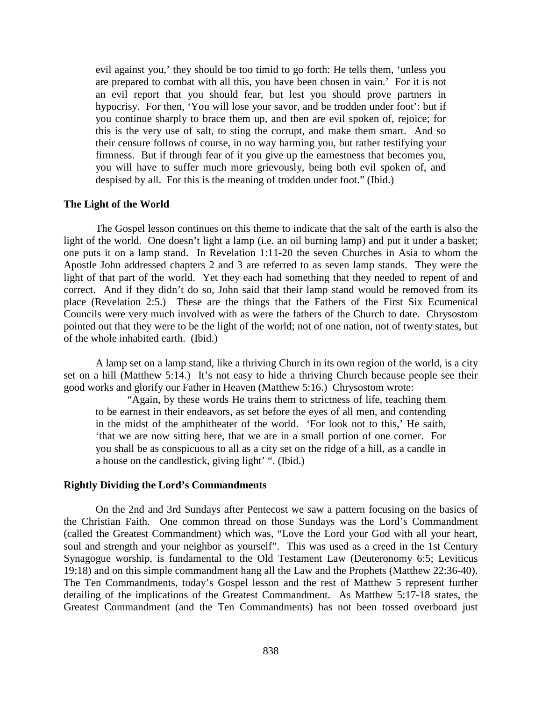evil against you,' they should be too timid to go forth: He tells them, 'unless you are prepared to combat with all this, you have been chosen in vain.' For it is not an evil report that you should fear, but lest you should prove partners in hypocrisy. For then, 'You will lose your savor, and be trodden under foot': but if you continue sharply to brace them up, and then are evil spoken of, rejoice; for this is the very use of salt, to sting the corrupt, and make them smart. And so their censure follows of course, in no way harming you, but rather testifying your firmness. But if through fear of it you give up the earnestness that becomes you, you will have to suffer much more grievously, being both evil spoken of, and despised by all. For this is the meaning of trodden under foot." (Ibid.)

#### **The Light of the World**

The Gospel lesson continues on this theme to indicate that the salt of the earth is also the light of the world. One doesn't light a lamp (i.e. an oil burning lamp) and put it under a basket; one puts it on a lamp stand. In Revelation 1:11-20 the seven Churches in Asia to whom the Apostle John addressed chapters 2 and 3 are referred to as seven lamp stands. They were the light of that part of the world. Yet they each had something that they needed to repent of and correct. And if they didn't do so, John said that their lamp stand would be removed from its place (Revelation 2:5.) These are the things that the Fathers of the First Six Ecumenical Councils were very much involved with as were the fathers of the Church to date. Chrysostom pointed out that they were to be the light of the world; not of one nation, not of twenty states, but of the whole inhabited earth. (Ibid.)

A lamp set on a lamp stand, like a thriving Church in its own region of the world, is a city set on a hill (Matthew 5:14.) It's not easy to hide a thriving Church because people see their good works and glorify our Father in Heaven (Matthew 5:16.) Chrysostom wrote:

"Again, by these words He trains them to strictness of life, teaching them to be earnest in their endeavors, as set before the eyes of all men, and contending in the midst of the amphitheater of the world. 'For look not to this,' He saith, 'that we are now sitting here, that we are in a small portion of one corner. For you shall be as conspicuous to all as a city set on the ridge of a hill, as a candle in a house on the candlestick, giving light' ". (Ibid.)

#### **Rightly Dividing the Lord's Commandments**

On the 2nd and 3rd Sundays after Pentecost we saw a pattern focusing on the basics of the Christian Faith. One common thread on those Sundays was the Lord's Commandment (called the Greatest Commandment) which was, "Love the Lord your God with all your heart, soul and strength and your neighbor as yourself". This was used as a creed in the 1st Century Synagogue worship, is fundamental to the Old Testament Law (Deuteronomy 6:5; Leviticus 19:18) and on this simple commandment hang all the Law and the Prophets (Matthew 22:36-40). The Ten Commandments, today's Gospel lesson and the rest of Matthew 5 represent further detailing of the implications of the Greatest Commandment. As Matthew 5:17-18 states, the Greatest Commandment (and the Ten Commandments) has not been tossed overboard just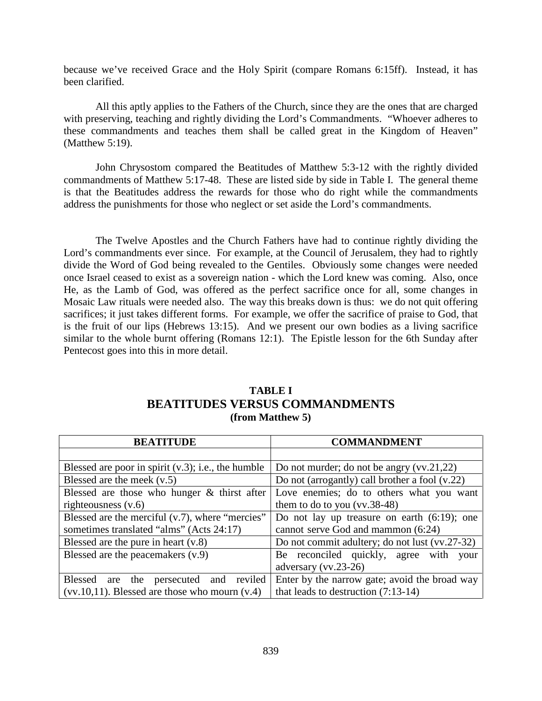because we've received Grace and the Holy Spirit (compare Romans 6:15ff). Instead, it has been clarified.

All this aptly applies to the Fathers of the Church, since they are the ones that are charged with preserving, teaching and rightly dividing the Lord's Commandments. "Whoever adheres to these commandments and teaches them shall be called great in the Kingdom of Heaven" (Matthew 5:19).

John Chrysostom compared the Beatitudes of Matthew 5:3-12 with the rightly divided commandments of Matthew 5:17-48. These are listed side by side in Table I. The general theme is that the Beatitudes address the rewards for those who do right while the commandments address the punishments for those who neglect or set aside the Lord's commandments.

The Twelve Apostles and the Church Fathers have had to continue rightly dividing the Lord's commandments ever since. For example, at the Council of Jerusalem, they had to rightly divide the Word of God being revealed to the Gentiles. Obviously some changes were needed once Israel ceased to exist as a sovereign nation - which the Lord knew was coming. Also, once He, as the Lamb of God, was offered as the perfect sacrifice once for all, some changes in Mosaic Law rituals were needed also. The way this breaks down is thus: we do not quit offering sacrifices; it just takes different forms. For example, we offer the sacrifice of praise to God, that is the fruit of our lips (Hebrews 13:15). And we present our own bodies as a living sacrifice similar to the whole burnt offering (Romans 12:1). The Epistle lesson for the 6th Sunday after Pentecost goes into this in more detail.

| TABLE I |                                       |  |
|---------|---------------------------------------|--|
|         | <b>BEATITUDES VERSUS COMMANDMENTS</b> |  |
|         | (from Matthew 5)                      |  |

| <b>BEATITUDE</b>                                             | <b>COMMANDMENT</b>                               |
|--------------------------------------------------------------|--------------------------------------------------|
|                                                              |                                                  |
| Blessed are poor in spirit $(v.3)$ ; i.e., the humble        | Do not murder; do not be angry $(vv.21,22)$      |
| Blessed are the meek $(v.5)$                                 | Do not (arrogantly) call brother a fool $(v.22)$ |
| Blessed are those who hunger $\&$ thirst after               | Love enemies; do to others what you want         |
| righteousness $(v.6)$                                        | them to do to you $(vv.38-48)$                   |
| Blessed are the merciful $(v.7)$ , where "mercies"           | Do not lay up treasure on earth $(6.19)$ ; one   |
| sometimes translated "alms" (Acts 24:17)                     | cannot serve God and mammon (6:24)               |
| Blessed are the pure in heart $(v.8)$                        | Do not commit adultery; do not lust (vv.27-32)   |
| Blessed are the peacemakers $(v.9)$                          | Be reconciled quickly, agree<br>with<br>your     |
|                                                              | adversary $(vv.23-26)$                           |
| <b>Blessed</b><br>reviled<br>the<br>persecuted<br>and<br>are | Enter by the narrow gate; avoid the broad way    |
| $(vv.10,11)$ . Blessed are those who mourn $(v.4)$           | that leads to destruction $(7:13-14)$            |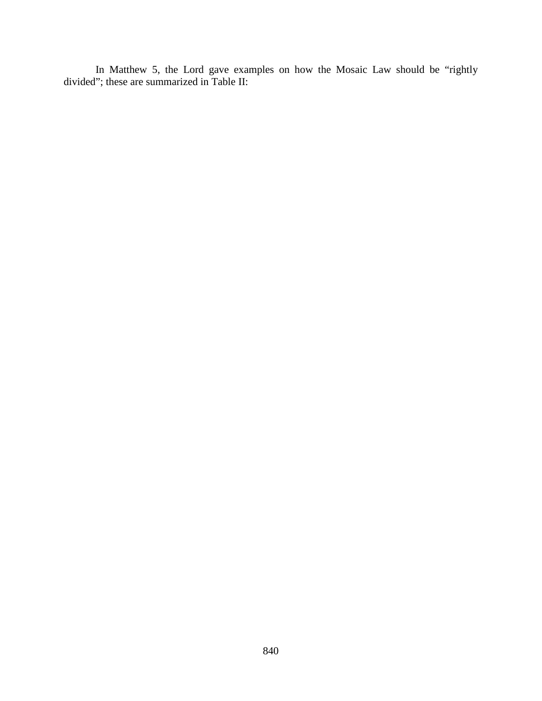In Matthew 5, the Lord gave examples on how the Mosaic Law should be "rightly divided"; these are summarized in Table II: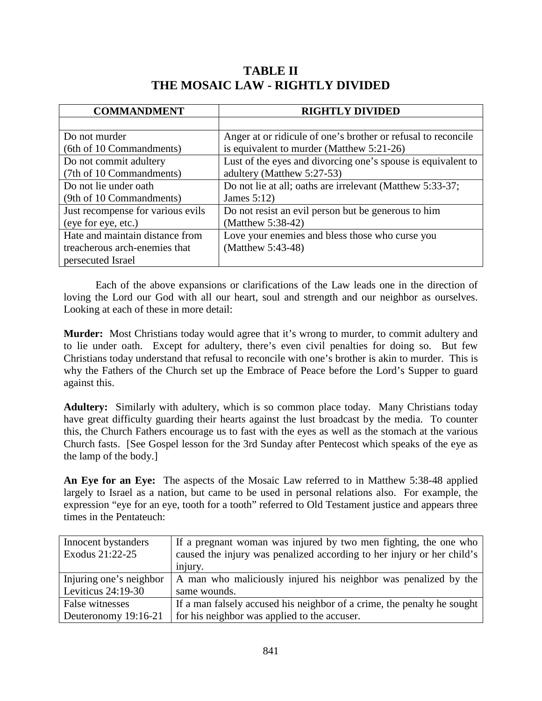## **TABLE II THE MOSAIC LAW - RIGHTLY DIVIDED**

| <b>COMMANDMENT</b>                | <b>RIGHTLY DIVIDED</b>                                        |
|-----------------------------------|---------------------------------------------------------------|
|                                   |                                                               |
| Do not murder                     | Anger at or ridicule of one's brother or refusal to reconcile |
| (6th of 10 Commandments)          | is equivalent to murder (Matthew 5:21-26)                     |
| Do not commit adultery            | Lust of the eyes and divorcing one's spouse is equivalent to  |
| (7th of 10 Commandments)          | adultery (Matthew 5:27-53)                                    |
| Do not lie under oath             | Do not lie at all; oaths are irrelevant (Matthew 5:33-37;     |
| (9th of 10 Commandments)          | James $5:12$                                                  |
| Just recompense for various evils | Do not resist an evil person but be generous to him           |
| (eye for eye, etc.)               | (Matthew 5:38-42)                                             |
| Hate and maintain distance from   | Love your enemies and bless those who curse you               |
| treacherous arch-enemies that     | (Matthew 5:43-48)                                             |
| persecuted Israel                 |                                                               |

Each of the above expansions or clarifications of the Law leads one in the direction of loving the Lord our God with all our heart, soul and strength and our neighbor as ourselves. Looking at each of these in more detail:

**Murder:** Most Christians today would agree that it's wrong to murder, to commit adultery and to lie under oath. Except for adultery, there's even civil penalties for doing so. But few Christians today understand that refusal to reconcile with one's brother is akin to murder. This is why the Fathers of the Church set up the Embrace of Peace before the Lord's Supper to guard against this.

**Adultery:** Similarly with adultery, which is so common place today. Many Christians today have great difficulty guarding their hearts against the lust broadcast by the media. To counter this, the Church Fathers encourage us to fast with the eyes as well as the stomach at the various Church fasts. [See Gospel lesson for the 3rd Sunday after Pentecost which speaks of the eye as the lamp of the body.]

**An Eye for an Eye:** The aspects of the Mosaic Law referred to in Matthew 5:38-48 applied largely to Israel as a nation, but came to be used in personal relations also. For example, the expression "eye for an eye, tooth for a tooth" referred to Old Testament justice and appears three times in the Pentateuch:

| Innocent bystanders     | If a pregnant woman was injured by two men fighting, the one who        |
|-------------------------|-------------------------------------------------------------------------|
| Exodus 21:22-25         | caused the injury was penalized according to her injury or her child's  |
|                         | injury.                                                                 |
| Injuring one's neighbor | A man who maliciously injured his neighbor was penalized by the         |
| Leviticus $24:19-30$    | same wounds.                                                            |
| False witnesses         | If a man falsely accused his neighbor of a crime, the penalty he sought |
| Deuteronomy 19:16-21    | for his neighbor was applied to the accuser.                            |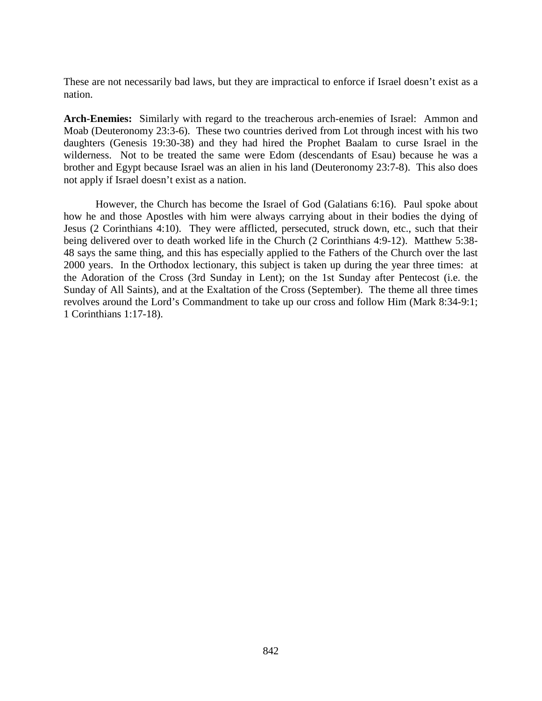These are not necessarily bad laws, but they are impractical to enforce if Israel doesn't exist as a nation.

**Arch-Enemies:** Similarly with regard to the treacherous arch-enemies of Israel: Ammon and Moab (Deuteronomy 23:3-6). These two countries derived from Lot through incest with his two daughters (Genesis 19:30-38) and they had hired the Prophet Baalam to curse Israel in the wilderness. Not to be treated the same were Edom (descendants of Esau) because he was a brother and Egypt because Israel was an alien in his land (Deuteronomy 23:7-8). This also does not apply if Israel doesn't exist as a nation.

However, the Church has become the Israel of God (Galatians 6:16). Paul spoke about how he and those Apostles with him were always carrying about in their bodies the dying of Jesus (2 Corinthians 4:10). They were afflicted, persecuted, struck down, etc., such that their being delivered over to death worked life in the Church (2 Corinthians 4:9-12). Matthew 5:38- 48 says the same thing, and this has especially applied to the Fathers of the Church over the last 2000 years. In the Orthodox lectionary, this subject is taken up during the year three times: at the Adoration of the Cross (3rd Sunday in Lent); on the 1st Sunday after Pentecost (i.e. the Sunday of All Saints), and at the Exaltation of the Cross (September). The theme all three times revolves around the Lord's Commandment to take up our cross and follow Him (Mark 8:34-9:1; 1 Corinthians 1:17-18).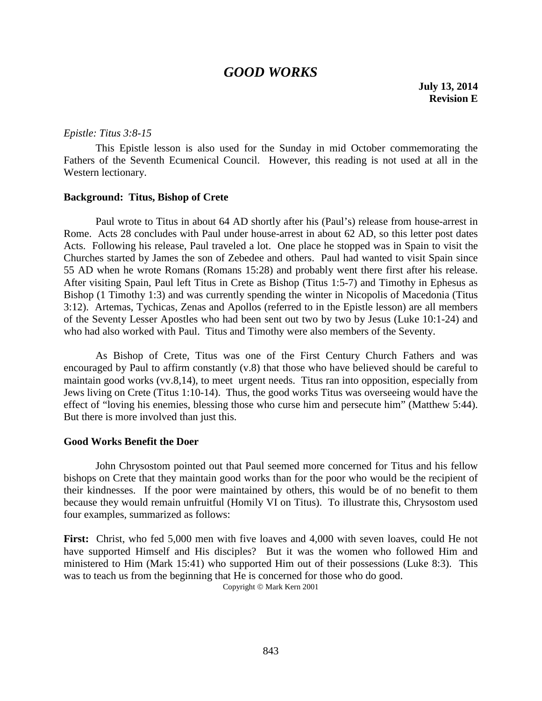## *GOOD WORKS*

**July 13, 2014 Revision E**

#### *Epistle: Titus 3:8-15*

This Epistle lesson is also used for the Sunday in mid October commemorating the Fathers of the Seventh Ecumenical Council. However, this reading is not used at all in the Western lectionary.

#### **Background: Titus, Bishop of Crete**

Paul wrote to Titus in about 64 AD shortly after his (Paul's) release from house-arrest in Rome. Acts 28 concludes with Paul under house-arrest in about 62 AD, so this letter post dates Acts. Following his release, Paul traveled a lot. One place he stopped was in Spain to visit the Churches started by James the son of Zebedee and others. Paul had wanted to visit Spain since 55 AD when he wrote Romans (Romans 15:28) and probably went there first after his release. After visiting Spain, Paul left Titus in Crete as Bishop (Titus 1:5-7) and Timothy in Ephesus as Bishop (1 Timothy 1:3) and was currently spending the winter in Nicopolis of Macedonia (Titus 3:12). Artemas, Tychicas, Zenas and Apollos (referred to in the Epistle lesson) are all members of the Seventy Lesser Apostles who had been sent out two by two by Jesus (Luke 10:1-24) and who had also worked with Paul. Titus and Timothy were also members of the Seventy.

As Bishop of Crete, Titus was one of the First Century Church Fathers and was encouraged by Paul to affirm constantly (v.8) that those who have believed should be careful to maintain good works (vv.8,14), to meet urgent needs. Titus ran into opposition, especially from Jews living on Crete (Titus 1:10-14). Thus, the good works Titus was overseeing would have the effect of "loving his enemies, blessing those who curse him and persecute him" (Matthew 5:44). But there is more involved than just this.

#### **Good Works Benefit the Doer**

John Chrysostom pointed out that Paul seemed more concerned for Titus and his fellow bishops on Crete that they maintain good works than for the poor who would be the recipient of their kindnesses. If the poor were maintained by others, this would be of no benefit to them because they would remain unfruitful (Homily VI on Titus). To illustrate this, Chrysostom used four examples, summarized as follows:

**First:** Christ, who fed 5,000 men with five loaves and 4,000 with seven loaves, could He not have supported Himself and His disciples? But it was the women who followed Him and ministered to Him (Mark 15:41) who supported Him out of their possessions (Luke 8:3). This was to teach us from the beginning that He is concerned for those who do good.

Copyright © Mark Kern 2001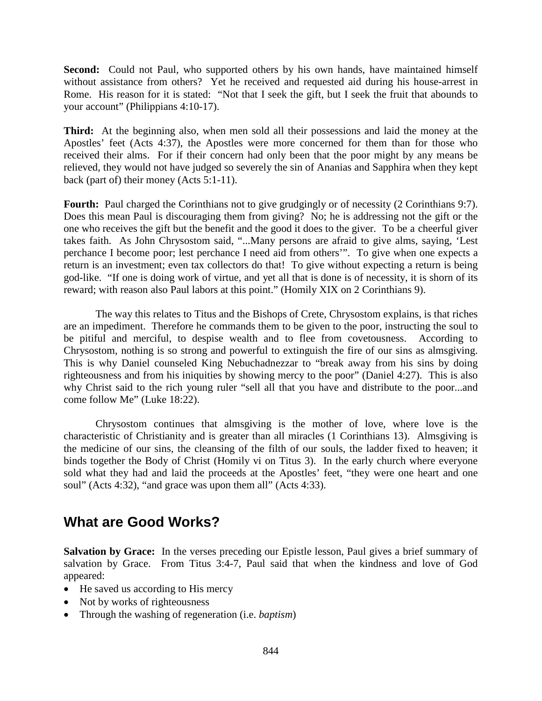**Second:** Could not Paul, who supported others by his own hands, have maintained himself without assistance from others? Yet he received and requested aid during his house-arrest in Rome. His reason for it is stated: "Not that I seek the gift, but I seek the fruit that abounds to your account" (Philippians 4:10-17).

**Third:** At the beginning also, when men sold all their possessions and laid the money at the Apostles' feet (Acts 4:37), the Apostles were more concerned for them than for those who received their alms. For if their concern had only been that the poor might by any means be relieved, they would not have judged so severely the sin of Ananias and Sapphira when they kept back (part of) their money (Acts 5:1-11).

Fourth: Paul charged the Corinthians not to give grudgingly or of necessity (2 Corinthians 9:7). Does this mean Paul is discouraging them from giving? No; he is addressing not the gift or the one who receives the gift but the benefit and the good it does to the giver. To be a cheerful giver takes faith. As John Chrysostom said, "...Many persons are afraid to give alms, saying, 'Lest perchance I become poor; lest perchance I need aid from others'". To give when one expects a return is an investment; even tax collectors do that! To give without expecting a return is being god-like. "If one is doing work of virtue, and yet all that is done is of necessity, it is shorn of its reward; with reason also Paul labors at this point." (Homily XIX on 2 Corinthians 9).

The way this relates to Titus and the Bishops of Crete, Chrysostom explains, is that riches are an impediment. Therefore he commands them to be given to the poor, instructing the soul to be pitiful and merciful, to despise wealth and to flee from covetousness. According to Chrysostom, nothing is so strong and powerful to extinguish the fire of our sins as almsgiving. This is why Daniel counseled King Nebuchadnezzar to "break away from his sins by doing righteousness and from his iniquities by showing mercy to the poor" (Daniel 4:27). This is also why Christ said to the rich young ruler "sell all that you have and distribute to the poor...and come follow Me" (Luke 18:22).

Chrysostom continues that almsgiving is the mother of love, where love is the characteristic of Christianity and is greater than all miracles (1 Corinthians 13). Almsgiving is the medicine of our sins, the cleansing of the filth of our souls, the ladder fixed to heaven; it binds together the Body of Christ (Homily vi on Titus 3). In the early church where everyone sold what they had and laid the proceeds at the Apostles' feet, "they were one heart and one soul" (Acts 4:32), "and grace was upon them all" (Acts 4:33).

# **What are Good Works?**

**Salvation by Grace:** In the verses preceding our Epistle lesson, Paul gives a brief summary of salvation by Grace. From Titus 3:4-7, Paul said that when the kindness and love of God appeared:

- He saved us according to His mercy
- Not by works of righteousness
- Through the washing of regeneration (i.e. *baptism*)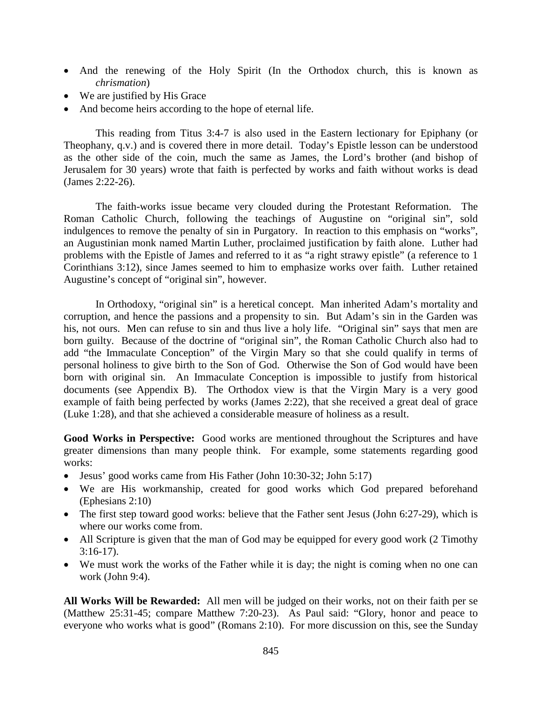- And the renewing of the Holy Spirit (In the Orthodox church, this is known as *chrismation*)
- We are justified by His Grace
- And become heirs according to the hope of eternal life.

This reading from Titus 3:4-7 is also used in the Eastern lectionary for Epiphany (or Theophany, q.v.) and is covered there in more detail. Today's Epistle lesson can be understood as the other side of the coin, much the same as James, the Lord's brother (and bishop of Jerusalem for 30 years) wrote that faith is perfected by works and faith without works is dead (James 2:22-26).

The faith-works issue became very clouded during the Protestant Reformation. The Roman Catholic Church, following the teachings of Augustine on "original sin", sold indulgences to remove the penalty of sin in Purgatory. In reaction to this emphasis on "works", an Augustinian monk named Martin Luther, proclaimed justification by faith alone. Luther had problems with the Epistle of James and referred to it as "a right strawy epistle" (a reference to 1 Corinthians 3:12), since James seemed to him to emphasize works over faith. Luther retained Augustine's concept of "original sin", however.

In Orthodoxy, "original sin" is a heretical concept. Man inherited Adam's mortality and corruption, and hence the passions and a propensity to sin. But Adam's sin in the Garden was his, not ours. Men can refuse to sin and thus live a holy life. "Original sin" says that men are born guilty. Because of the doctrine of "original sin", the Roman Catholic Church also had to add "the Immaculate Conception" of the Virgin Mary so that she could qualify in terms of personal holiness to give birth to the Son of God. Otherwise the Son of God would have been born with original sin. An Immaculate Conception is impossible to justify from historical documents (see Appendix B). The Orthodox view is that the Virgin Mary is a very good example of faith being perfected by works (James 2:22), that she received a great deal of grace (Luke 1:28), and that she achieved a considerable measure of holiness as a result.

**Good Works in Perspective:** Good works are mentioned throughout the Scriptures and have greater dimensions than many people think. For example, some statements regarding good works:

- Jesus' good works came from His Father (John 10:30-32; John 5:17)
- We are His workmanship, created for good works which God prepared beforehand (Ephesians 2:10)
- The first step toward good works: believe that the Father sent Jesus (John 6:27-29), which is where our works come from.
- All Scripture is given that the man of God may be equipped for every good work (2 Timothy 3:16-17).
- We must work the works of the Father while it is day; the night is coming when no one can work (John 9:4).

**All Works Will be Rewarded:** All men will be judged on their works, not on their faith per se (Matthew 25:31-45; compare Matthew 7:20-23). As Paul said: "Glory, honor and peace to everyone who works what is good" (Romans 2:10). For more discussion on this, see the Sunday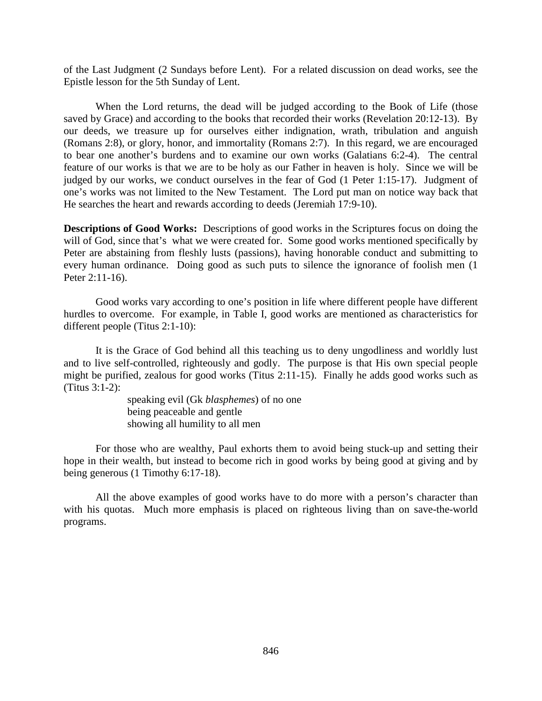of the Last Judgment (2 Sundays before Lent). For a related discussion on dead works, see the Epistle lesson for the 5th Sunday of Lent.

When the Lord returns, the dead will be judged according to the Book of Life (those saved by Grace) and according to the books that recorded their works (Revelation 20:12-13). By our deeds, we treasure up for ourselves either indignation, wrath, tribulation and anguish (Romans 2:8), or glory, honor, and immortality (Romans 2:7). In this regard, we are encouraged to bear one another's burdens and to examine our own works (Galatians 6:2-4). The central feature of our works is that we are to be holy as our Father in heaven is holy. Since we will be judged by our works, we conduct ourselves in the fear of God (1 Peter 1:15-17). Judgment of one's works was not limited to the New Testament. The Lord put man on notice way back that He searches the heart and rewards according to deeds (Jeremiah 17:9-10).

**Descriptions of Good Works:** Descriptions of good works in the Scriptures focus on doing the will of God, since that's what we were created for. Some good works mentioned specifically by Peter are abstaining from fleshly lusts (passions), having honorable conduct and submitting to every human ordinance. Doing good as such puts to silence the ignorance of foolish men (1 Peter 2:11-16).

Good works vary according to one's position in life where different people have different hurdles to overcome. For example, in Table I, good works are mentioned as characteristics for different people (Titus 2:1-10):

It is the Grace of God behind all this teaching us to deny ungodliness and worldly lust and to live self-controlled, righteously and godly. The purpose is that His own special people might be purified, zealous for good works (Titus 2:11-15). Finally he adds good works such as (Titus 3:1-2):

> speaking evil (Gk *blasphemes*) of no one being peaceable and gentle showing all humility to all men

For those who are wealthy, Paul exhorts them to avoid being stuck-up and setting their hope in their wealth, but instead to become rich in good works by being good at giving and by being generous (1 Timothy 6:17-18).

All the above examples of good works have to do more with a person's character than with his quotas. Much more emphasis is placed on righteous living than on save-the-world programs.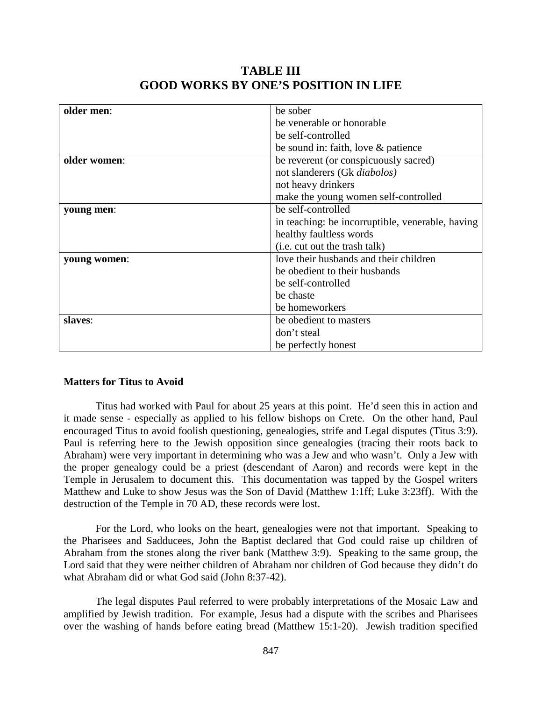| older men:   | be sober                                         |
|--------------|--------------------------------------------------|
|              |                                                  |
|              | be venerable or honorable                        |
|              | be self-controlled                               |
|              | be sound in: faith, love $\&$ patience           |
| older women: | be reverent (or conspicuously sacred)            |
|              | not slanderers (Gk <i>diabolos</i> )             |
|              | not heavy drinkers                               |
|              | make the young women self-controlled             |
| young men:   | be self-controlled                               |
|              | in teaching: be incorruptible, venerable, having |
|              | healthy faultless words                          |
|              | (i.e. cut out the trash talk)                    |
| young women: | love their husbands and their children           |
|              | be obedient to their husbands                    |
|              | be self-controlled                               |
|              | be chaste                                        |
|              | be homeworkers                                   |
| slaves:      | be obedient to masters                           |
|              | don't steal                                      |
|              | be perfectly honest                              |

## **TABLE III GOOD WORKS BY ONE'S POSITION IN LIFE**

### **Matters for Titus to Avoid**

Titus had worked with Paul for about 25 years at this point. He'd seen this in action and it made sense - especially as applied to his fellow bishops on Crete. On the other hand, Paul encouraged Titus to avoid foolish questioning, genealogies, strife and Legal disputes (Titus 3:9). Paul is referring here to the Jewish opposition since genealogies (tracing their roots back to Abraham) were very important in determining who was a Jew and who wasn't. Only a Jew with the proper genealogy could be a priest (descendant of Aaron) and records were kept in the Temple in Jerusalem to document this. This documentation was tapped by the Gospel writers Matthew and Luke to show Jesus was the Son of David (Matthew 1:1ff; Luke 3:23ff). With the destruction of the Temple in 70 AD, these records were lost.

For the Lord, who looks on the heart, genealogies were not that important. Speaking to the Pharisees and Sadducees, John the Baptist declared that God could raise up children of Abraham from the stones along the river bank (Matthew 3:9). Speaking to the same group, the Lord said that they were neither children of Abraham nor children of God because they didn't do what Abraham did or what God said (John 8:37-42).

The legal disputes Paul referred to were probably interpretations of the Mosaic Law and amplified by Jewish tradition. For example, Jesus had a dispute with the scribes and Pharisees over the washing of hands before eating bread (Matthew 15:1-20). Jewish tradition specified